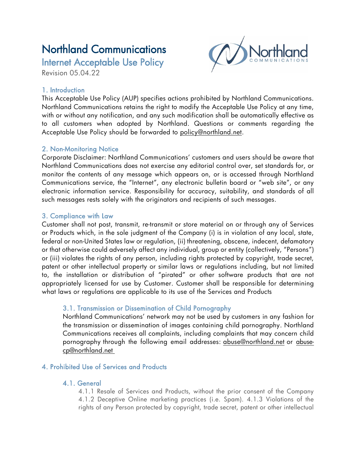# Northland Communications

Internet Acceptable Use Policy Revision 05.04.22

# 1. Introduction

This Acceptable Use Policy (AUP) specifies actions prohibited by Northland Communications. Northland Communications retains the right to modify the Acceptable Use Policy at any time, with or without any notification, and any such modification shall be automatically effective as to all customers when adopted by Northland. Questions or comments regarding the Acceptable Use Policy should be forwarded to policy@northland.net.

# 2. Non-Monitoring Notice

Corporate Disclaimer: Northland Communications' customers and users should be aware that Northland Communications does not exercise any editorial control over, set standards for, or monitor the contents of any message which appears on, or is accessed through Northland Communications service, the "Internet", any electronic bulletin board or "web site", or any electronic information service. Responsibility for accuracy, suitability, and standards of all such messages rests solely with the originators and recipients of such messages.

# 3. Compliance with Law

Customer shall not post, transmit, re-transmit or store material on or through any of Services or Products which, in the sole judgment of the Company (i) is in violation of any local, state, federal or non-United States law or regulation, (ii) threatening, obscene, indecent, defamatory or that otherwise could adversely affect any individual, group or entity (collectively, "Persons") or (iii) violates the rights of any person, including rights protected by copyright, trade secret, patent or other intellectual property or similar laws or regulations including, but not limited to, the installation or distribution of "pirated" or other software products that are not appropriately licensed for use by Customer. Customer shall be responsible for determining what laws or regulations are applicable to its use of the Services and Products

# 3.1. Transmission or Dissemination of Child Pornography

Northland Communications' network may not be used by customers in any fashion for the transmission or dissemination of images containing child pornography. Northland Communications receives all complaints, including complaints that may concern child pornography through the following email addresses: [abuse@northland.net](mailto:abuse@northland.net) or [abuse](mailto:abuse-cp@northland.net)[cp@northland.net](mailto:abuse-cp@northland.net)

#### 4. Prohibited Use of Services and Products

#### 4.1. General

4.1.1 Resale of Services and Products, without the prior consent of the Company 4.1.2 Deceptive Online marketing practices (i.e. Spam). 4.1.3 Violations of the rights of any Person protected by copyright, trade secret, patent or other intellectual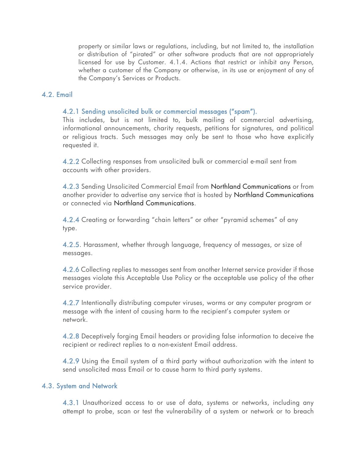property or similar laws or regulations, including, but not limited to, the installation or distribution of "pirated" or other software products that are not appropriately licensed for use by Customer. 4.1.4. Actions that restrict or inhibit any Person, whether a customer of the Company or otherwise, in its use or enjoyment of any of the Company's Services or Products.

#### 4.2. Email

#### 4.2.1 Sending unsolicited bulk or commercial messages ("spam").

This includes, but is not limited to, bulk mailing of commercial advertising, informational announcements, charity requests, petitions for signatures, and political or religious tracts. Such messages may only be sent to those who have explicitly requested it.

4.2.2 Collecting responses from unsolicited bulk or commercial e-mail sent from accounts with other providers.

4.2.3 Sending Unsolicited Commercial Email from Northland Communications or from another provider to advertise any service that is hosted by Northland Communications or connected via Northland Communications.

4.2.4 Creating or forwarding "chain letters" or other "pyramid schemes" of any type.

4.2.5. Harassment, whether through language, frequency of messages, or size of messages.

4.2.6 Collecting replies to messages sent from another Internet service provider if those messages violate this Acceptable Use Policy or the acceptable use policy of the other service provider.

4.2.7 Intentionally distributing computer viruses, worms or any computer program or message with the intent of causing harm to the recipient's computer system or network.

4.2.8 Deceptively forging Email headers or providing false information to deceive the recipient or redirect replies to a non-existent Email address.

4.2.9 Using the Email system of a third party without authorization with the intent to send unsolicited mass Email or to cause harm to third party systems.

#### 4.3. System and Network

4.3.1 Unauthorized access to or use of data, systems or networks, including any attempt to probe, scan or test the vulnerability of a system or network or to breach